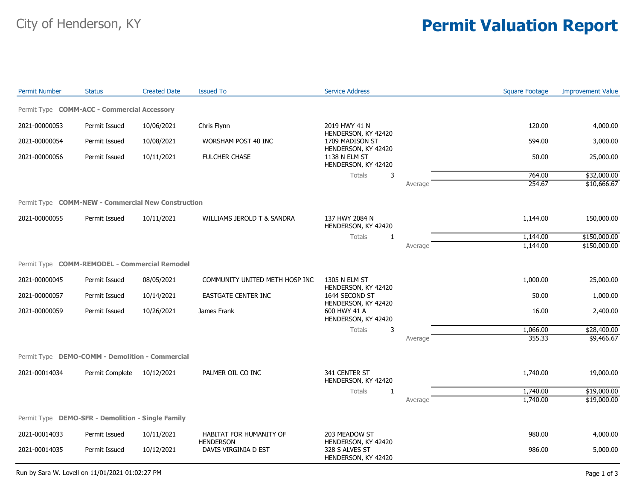## City of Henderson, KY **Permit Valuation Report**

| <b>Permit Number</b>                               | <b>Status</b>   | <b>Created Date</b> | <b>Issued To</b>                         | <b>Service Address</b>                                       |         | <b>Square Footage</b> | <b>Improvement Value</b> |
|----------------------------------------------------|-----------------|---------------------|------------------------------------------|--------------------------------------------------------------|---------|-----------------------|--------------------------|
| Permit Type COMM-ACC - Commercial Accessory        |                 |                     |                                          |                                                              |         |                       |                          |
| 2021-00000053                                      | Permit Issued   | 10/06/2021          | Chris Flynn                              | 2019 HWY 41 N                                                |         | 120.00                | 4,000.00                 |
| 2021-00000054                                      | Permit Issued   | 10/08/2021          | WORSHAM POST 40 INC                      | HENDERSON, KY 42420<br>1709 MADISON ST                       |         | 594.00                | 3,000.00                 |
| 2021-00000056                                      | Permit Issued   | 10/11/2021          | FULCHER CHASE                            | HENDERSON, KY 42420<br>1138 N ELM ST<br>HENDERSON, KY 42420  |         | 50.00                 | 25,000.00                |
|                                                    |                 |                     |                                          | <b>Totals</b><br>3                                           |         | 764.00                | \$32,000.00              |
|                                                    |                 |                     |                                          |                                                              | Average | 254.67                | \$10,666.67              |
| Permit Type COMM-NEW - Commercial New Construction |                 |                     |                                          |                                                              |         |                       |                          |
| 2021-00000055                                      | Permit Issued   | 10/11/2021          | WILLIAMS JEROLD T & SANDRA               | 137 HWY 2084 N<br>HENDERSON, KY 42420                        |         | 1,144.00              | 150,000.00               |
|                                                    |                 |                     |                                          | Totals<br>$\mathbf{1}$                                       |         | 1,144.00              | \$150,000.00             |
|                                                    |                 |                     |                                          |                                                              | Average | 1,144.00              | \$150,000.00             |
| Permit Type COMM-REMODEL - Commercial Remodel      |                 |                     |                                          |                                                              |         |                       |                          |
| 2021-00000045                                      | Permit Issued   | 08/05/2021          | COMMUNITY UNITED METH HOSP INC           | 1305 N ELM ST<br>HENDERSON, KY 42420                         |         | 1,000.00              | 25,000.00                |
| 2021-00000057                                      | Permit Issued   | 10/14/2021          | EASTGATE CENTER INC                      | 1644 SECOND ST                                               |         | 50.00                 | 1,000.00                 |
| 2021-00000059                                      | Permit Issued   | 10/26/2021          | James Frank                              | HENDERSON, KY 42420<br>600 HWY 41 A<br>HENDERSON, KY 42420   |         | 16.00                 | 2,400.00                 |
|                                                    |                 |                     |                                          | Totals<br>3                                                  |         | 1,066.00              | \$28,400.00              |
|                                                    |                 |                     |                                          |                                                              | Average | 355.33                | \$9,466.67               |
| Permit Type DEMO-COMM - Demolition - Commercial    |                 |                     |                                          |                                                              |         |                       |                          |
| 2021-00014034                                      | Permit Complete | 10/12/2021          | PALMER OIL CO INC                        | 341 CENTER ST<br>HENDERSON, KY 42420                         |         | 1,740.00              | 19,000.00                |
|                                                    |                 |                     |                                          | Totals<br>1                                                  |         | 1,740.00              | \$19,000.00              |
|                                                    |                 |                     |                                          |                                                              | Average | 1,740.00              | \$19,000.00              |
| Permit Type DEMO-SFR - Demolition - Single Family  |                 |                     |                                          |                                                              |         |                       |                          |
| 2021-00014033                                      | Permit Issued   | 10/11/2021          | HABITAT FOR HUMANITY OF                  | 203 MEADOW ST                                                |         | 980.00                | 4,000.00                 |
| 2021-00014035                                      | Permit Issued   | 10/12/2021          | <b>HENDERSON</b><br>DAVIS VIRGINIA D EST | HENDERSON, KY 42420<br>328 S ALVES ST<br>HENDERSON, KY 42420 |         | 986.00                | 5,000.00                 |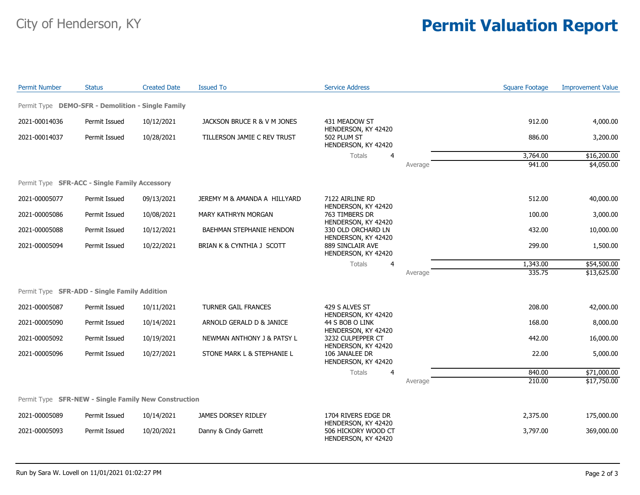## City of Henderson, KY **Permit Valuation Report**

| <b>Permit Number</b>                                 | <b>Status</b> | <b>Created Date</b> | <b>Issued To</b>             | <b>Service Address</b>                                            |         | <b>Square Footage</b> | <b>Improvement Value</b> |
|------------------------------------------------------|---------------|---------------------|------------------------------|-------------------------------------------------------------------|---------|-----------------------|--------------------------|
| Permit Type DEMO-SFR - Demolition - Single Family    |               |                     |                              |                                                                   |         |                       |                          |
| 2021-00014036                                        | Permit Issued | 10/12/2021          | JACKSON BRUCE R & V M JONES  | 431 MEADOW ST<br>HENDERSON, KY 42420                              |         | 912.00                | 4,000.00                 |
| 2021-00014037                                        | Permit Issued | 10/28/2021          | TILLERSON JAMIE C REV TRUST  | 502 PLUM ST<br>HENDERSON, KY 42420                                |         | 886.00                | 3,200.00                 |
|                                                      |               |                     |                              | Totals<br>4                                                       |         | 3,764.00              | \$16,200.00              |
|                                                      |               |                     |                              |                                                                   | Average | 941.00                | \$4,050.00               |
| Permit Type <b>SFR-ACC - Single Family Accessory</b> |               |                     |                              |                                                                   |         |                       |                          |
| 2021-00005077                                        | Permit Issued | 09/13/2021          | JEREMY M & AMANDA A HILLYARD | 7122 AIRLINE RD<br>HENDERSON, KY 42420                            |         | 512.00                | 40,000.00                |
| 2021-00005086                                        | Permit Issued | 10/08/2021          | MARY KATHRYN MORGAN          | 763 TIMBERS DR                                                    |         | 100.00                | 3,000.00                 |
| 2021-00005088                                        | Permit Issued | 10/12/2021          | BAEHMAN STEPHANIE HENDON     | HENDERSON, KY 42420<br>330 OLD ORCHARD LN                         |         | 432.00                | 10,000.00                |
| 2021-00005094                                        | Permit Issued | 10/22/2021          | BRIAN K & CYNTHIA J SCOTT    | HENDERSON, KY 42420<br>889 SINCLAIR AVE<br>HENDERSON, KY 42420    |         | 299.00                | 1,500.00                 |
|                                                      |               |                     |                              | Totals<br>$\overline{4}$                                          |         | 1,343.00              | \$54,500.00              |
|                                                      |               |                     |                              |                                                                   | Average | 335.75                | \$13,625.00              |
| Permit Type SFR-ADD - Single Family Addition         |               |                     |                              |                                                                   |         |                       |                          |
| 2021-00005087                                        | Permit Issued | 10/11/2021          | TURNER GAIL FRANCES          | 429 S ALVES ST                                                    |         | 208.00                | 42,000.00                |
| 2021-00005090                                        | Permit Issued | 10/14/2021          | ARNOLD GERALD D & JANICE     | HENDERSON, KY 42420<br>44 S BOB O LINK                            |         | 168.00                | 8,000.00                 |
| 2021-00005092                                        | Permit Issued | 10/19/2021          | NEWMAN ANTHONY J & PATSY L   | HENDERSON, KY 42420<br>3232 CULPEPPER CT                          |         | 442.00                | 16,000.00                |
| 2021-00005096                                        | Permit Issued | 10/27/2021          | STONE MARK L & STEPHANIE L   | HENDERSON, KY 42420<br>106 JANALEE DR<br>HENDERSON, KY 42420      |         | 22.00                 | 5,000.00                 |
|                                                      |               |                     |                              | <b>Totals</b><br>$\overline{4}$                                   |         | 840.00                | \$71,000.00              |
|                                                      |               |                     |                              |                                                                   | Average | 210.00                | \$17,750.00              |
| Permit Type SFR-NEW - Single Family New Construction |               |                     |                              |                                                                   |         |                       |                          |
| 2021-00005089                                        | Permit Issued | 10/14/2021          | JAMES DORSEY RIDLEY          | 1704 RIVERS EDGE DR                                               |         | 2,375.00              | 175,000.00               |
| 2021-00005093                                        | Permit Issued | 10/20/2021          | Danny & Cindy Garrett        | HENDERSON, KY 42420<br>506 HICKORY WOOD CT<br>HENDERSON, KY 42420 |         | 3,797.00              | 369,000.00               |